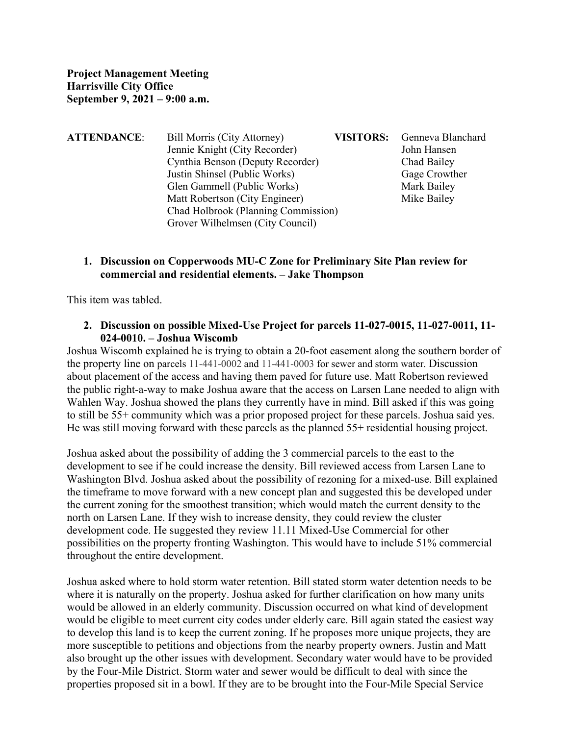| <b>ATTENDANCE:</b> | Bill Morris (City Attorney)         | <b>VISITORS:</b> | Genneva Blanchard |
|--------------------|-------------------------------------|------------------|-------------------|
|                    | Jennie Knight (City Recorder)       |                  | John Hansen       |
|                    | Cynthia Benson (Deputy Recorder)    |                  | Chad Bailey       |
|                    | Justin Shinsel (Public Works)       |                  | Gage Crowther     |
|                    | Glen Gammell (Public Works)         |                  | Mark Bailey       |
|                    | Matt Robertson (City Engineer)      |                  | Mike Bailey       |
|                    | Chad Holbrook (Planning Commission) |                  |                   |
|                    | Grover Wilhelmsen (City Council)    |                  |                   |
|                    |                                     |                  |                   |

## **1. Discussion on Copperwoods MU-C Zone for Preliminary Site Plan review for commercial and residential elements. – Jake Thompson**

This item was tabled.

**2. Discussion on possible Mixed-Use Project for parcels 11-027-0015, 11-027-0011, 11- 024-0010. – Joshua Wiscomb**

Joshua Wiscomb explained he is trying to obtain a 20-foot easement along the southern border of the property line on parcels 11-441-0002 and 11-441-0003 for sewer and storm water. Discussion about placement of the access and having them paved for future use. Matt Robertson reviewed the public right-a-way to make Joshua aware that the access on Larsen Lane needed to align with Wahlen Way. Joshua showed the plans they currently have in mind. Bill asked if this was going to still be 55+ community which was a prior proposed project for these parcels. Joshua said yes. He was still moving forward with these parcels as the planned  $55+$  residential housing project.

Joshua asked about the possibility of adding the 3 commercial parcels to the east to the development to see if he could increase the density. Bill reviewed access from Larsen Lane to Washington Blvd. Joshua asked about the possibility of rezoning for a mixed-use. Bill explained the timeframe to move forward with a new concept plan and suggested this be developed under the current zoning for the smoothest transition; which would match the current density to the north on Larsen Lane. If they wish to increase density, they could review the cluster development code. He suggested they review 11.11 Mixed-Use Commercial for other possibilities on the property fronting Washington. This would have to include 51% commercial throughout the entire development.

Joshua asked where to hold storm water retention. Bill stated storm water detention needs to be where it is naturally on the property. Joshua asked for further clarification on how many units would be allowed in an elderly community. Discussion occurred on what kind of development would be eligible to meet current city codes under elderly care. Bill again stated the easiest way to develop this land is to keep the current zoning. If he proposes more unique projects, they are more susceptible to petitions and objections from the nearby property owners. Justin and Matt also brought up the other issues with development. Secondary water would have to be provided by the Four-Mile District. Storm water and sewer would be difficult to deal with since the properties proposed sit in a bowl. If they are to be brought into the Four-Mile Special Service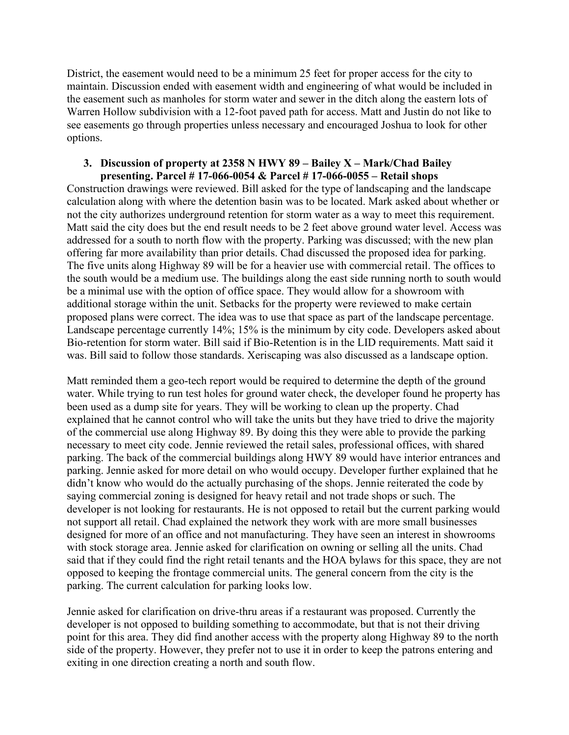District, the easement would need to be a minimum 25 feet for proper access for the city to maintain. Discussion ended with easement width and engineering of what would be included in the easement such as manholes for storm water and sewer in the ditch along the eastern lots of Warren Hollow subdivision with a 12-foot paved path for access. Matt and Justin do not like to see easements go through properties unless necessary and encouraged Joshua to look for other options.

## **3. Discussion of property at 2358 N HWY 89 – Bailey X – Mark/Chad Bailey presenting. Parcel # 17-066-0054 & Parcel # 17-066-0055 – Retail shops**

Construction drawings were reviewed. Bill asked for the type of landscaping and the landscape calculation along with where the detention basin was to be located. Mark asked about whether or not the city authorizes underground retention for storm water as a way to meet this requirement. Matt said the city does but the end result needs to be 2 feet above ground water level. Access was addressed for a south to north flow with the property. Parking was discussed; with the new plan offering far more availability than prior details. Chad discussed the proposed idea for parking. The five units along Highway 89 will be for a heavier use with commercial retail. The offices to the south would be a medium use. The buildings along the east side running north to south would be a minimal use with the option of office space. They would allow for a showroom with additional storage within the unit. Setbacks for the property were reviewed to make certain proposed plans were correct. The idea was to use that space as part of the landscape percentage. Landscape percentage currently 14%; 15% is the minimum by city code. Developers asked about Bio-retention for storm water. Bill said if Bio-Retention is in the LID requirements. Matt said it was. Bill said to follow those standards. Xeriscaping was also discussed as a landscape option.

Matt reminded them a geo-tech report would be required to determine the depth of the ground water. While trying to run test holes for ground water check, the developer found he property has been used as a dump site for years. They will be working to clean up the property. Chad explained that he cannot control who will take the units but they have tried to drive the majority of the commercial use along Highway 89. By doing this they were able to provide the parking necessary to meet city code. Jennie reviewed the retail sales, professional offices, with shared parking. The back of the commercial buildings along HWY 89 would have interior entrances and parking. Jennie asked for more detail on who would occupy. Developer further explained that he didn't know who would do the actually purchasing of the shops. Jennie reiterated the code by saying commercial zoning is designed for heavy retail and not trade shops or such. The developer is not looking for restaurants. He is not opposed to retail but the current parking would not support all retail. Chad explained the network they work with are more small businesses designed for more of an office and not manufacturing. They have seen an interest in showrooms with stock storage area. Jennie asked for clarification on owning or selling all the units. Chad said that if they could find the right retail tenants and the HOA bylaws for this space, they are not opposed to keeping the frontage commercial units. The general concern from the city is the parking. The current calculation for parking looks low.

Jennie asked for clarification on drive-thru areas if a restaurant was proposed. Currently the developer is not opposed to building something to accommodate, but that is not their driving point for this area. They did find another access with the property along Highway 89 to the north side of the property. However, they prefer not to use it in order to keep the patrons entering and exiting in one direction creating a north and south flow.